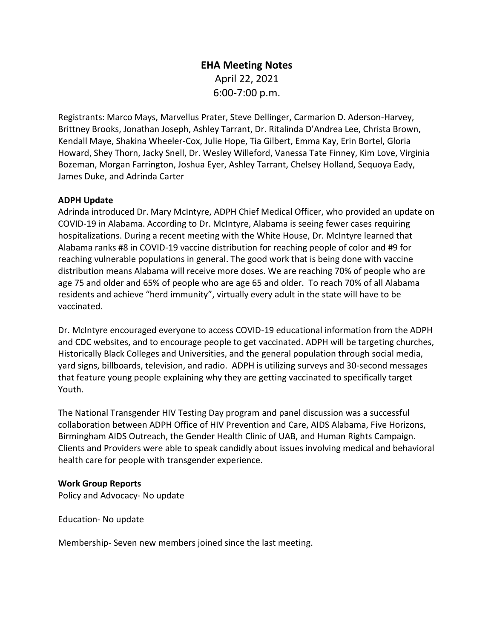# **EHA Meeting Notes**  April 22, 2021 6:00-7:00 p.m.

Registrants: Marco Mays, Marvellus Prater, Steve Dellinger, Carmarion D. Aderson-Harvey, Brittney Brooks, Jonathan Joseph, Ashley Tarrant, Dr. Ritalinda D'Andrea Lee, Christa Brown, Kendall Maye, Shakina Wheeler-Cox, Julie Hope, Tia Gilbert, Emma Kay, Erin Bortel, Gloria Howard, Shey Thorn, Jacky Snell, Dr. Wesley Willeford, Vanessa Tate Finney, Kim Love, Virginia Bozeman, Morgan Farrington, Joshua Eyer, Ashley Tarrant, Chelsey Holland, Sequoya Eady, James Duke, and Adrinda Carter

#### **ADPH Update**

Adrinda introduced Dr. Mary McIntyre, ADPH Chief Medical Officer, who provided an update on COVID-19 in Alabama. According to Dr. McIntyre, Alabama is seeing fewer cases requiring hospitalizations. During a recent meeting with the White House, Dr. McIntyre learned that Alabama ranks #8 in COVID-19 vaccine distribution for reaching people of color and #9 for reaching vulnerable populations in general. The good work that is being done with vaccine distribution means Alabama will receive more doses. We are reaching 70% of people who are age 75 and older and 65% of people who are age 65 and older. To reach 70% of all Alabama residents and achieve "herd immunity", virtually every adult in the state will have to be vaccinated.

Dr. McIntyre encouraged everyone to access COVID-19 educational information from the ADPH and CDC websites, and to encourage people to get vaccinated. ADPH will be targeting churches, Historically Black Colleges and Universities, and the general population through social media, yard signs, billboards, television, and radio. ADPH is utilizing surveys and 30-second messages that feature young people explaining why they are getting vaccinated to specifically target Youth.

The National Transgender HIV Testing Day program and panel discussion was a successful collaboration between ADPH Office of HIV Prevention and Care, AIDS Alabama, Five Horizons, Birmingham AIDS Outreach, the Gender Health Clinic of UAB, and Human Rights Campaign. Clients and Providers were able to speak candidly about issues involving medical and behavioral health care for people with transgender experience.

#### **Work Group Reports**

Policy and Advocacy- No update

Education- No update

Membership- Seven new members joined since the last meeting.